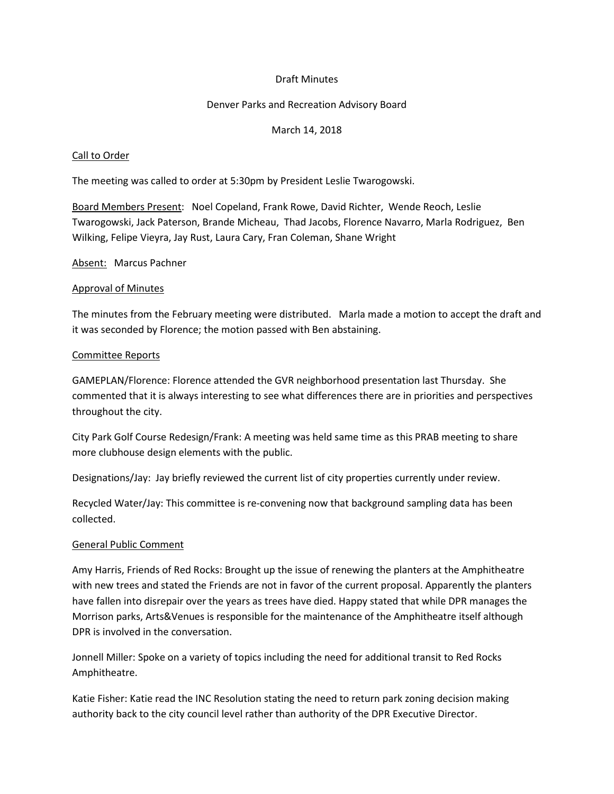## Draft Minutes

### Denver Parks and Recreation Advisory Board

### March 14, 2018

### Call to Order

The meeting was called to order at 5:30pm by President Leslie Twarogowski.

Board Members Present: Noel Copeland, Frank Rowe, David Richter, Wende Reoch, Leslie Twarogowski, Jack Paterson, Brande Micheau, Thad Jacobs, Florence Navarro, Marla Rodriguez, Ben Wilking, Felipe Vieyra, Jay Rust, Laura Cary, Fran Coleman, Shane Wright

#### Absent: Marcus Pachner

#### Approval of Minutes

The minutes from the February meeting were distributed. Marla made a motion to accept the draft and it was seconded by Florence; the motion passed with Ben abstaining.

#### Committee Reports

GAMEPLAN/Florence: Florence attended the GVR neighborhood presentation last Thursday. She commented that it is always interesting to see what differences there are in priorities and perspectives throughout the city.

City Park Golf Course Redesign/Frank: A meeting was held same time as this PRAB meeting to share more clubhouse design elements with the public.

Designations/Jay: Jay briefly reviewed the current list of city properties currently under review.

Recycled Water/Jay: This committee is re-convening now that background sampling data has been collected.

#### General Public Comment

Amy Harris, Friends of Red Rocks: Brought up the issue of renewing the planters at the Amphitheatre with new trees and stated the Friends are not in favor of the current proposal. Apparently the planters have fallen into disrepair over the years as trees have died. Happy stated that while DPR manages the Morrison parks, Arts&Venues is responsible for the maintenance of the Amphitheatre itself although DPR is involved in the conversation.

Jonnell Miller: Spoke on a variety of topics including the need for additional transit to Red Rocks Amphitheatre.

Katie Fisher: Katie read the INC Resolution stating the need to return park zoning decision making authority back to the city council level rather than authority of the DPR Executive Director.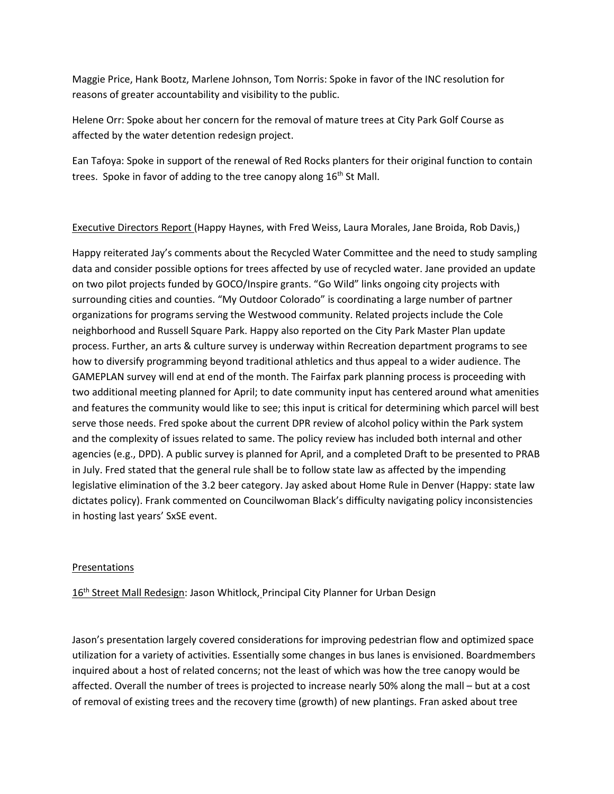Maggie Price, Hank Bootz, Marlene Johnson, Tom Norris: Spoke in favor of the INC resolution for reasons of greater accountability and visibility to the public.

Helene Orr: Spoke about her concern for the removal of mature trees at City Park Golf Course as affected by the water detention redesign project.

Ean Tafoya: Spoke in support of the renewal of Red Rocks planters for their original function to contain trees. Spoke in favor of adding to the tree canopy along 16<sup>th</sup> St Mall.

# Executive Directors Report (Happy Haynes, with Fred Weiss, Laura Morales, Jane Broida, Rob Davis,)

Happy reiterated Jay's comments about the Recycled Water Committee and the need to study sampling data and consider possible options for trees affected by use of recycled water. Jane provided an update on two pilot projects funded by GOCO/Inspire grants. "Go Wild" links ongoing city projects with surrounding cities and counties. "My Outdoor Colorado" is coordinating a large number of partner organizations for programs serving the Westwood community. Related projects include the Cole neighborhood and Russell Square Park. Happy also reported on the City Park Master Plan update process. Further, an arts & culture survey is underway within Recreation department programs to see how to diversify programming beyond traditional athletics and thus appeal to a wider audience. The GAMEPLAN survey will end at end of the month. The Fairfax park planning process is proceeding with two additional meeting planned for April; to date community input has centered around what amenities and features the community would like to see; this input is critical for determining which parcel will best serve those needs. Fred spoke about the current DPR review of alcohol policy within the Park system and the complexity of issues related to same. The policy review has included both internal and other agencies (e.g., DPD). A public survey is planned for April, and a completed Draft to be presented to PRAB in July. Fred stated that the general rule shall be to follow state law as affected by the impending legislative elimination of the 3.2 beer category. Jay asked about Home Rule in Denver (Happy: state law dictates policy). Frank commented on Councilwoman Black's difficulty navigating policy inconsistencies in hosting last years' SxSE event.

## Presentations

16<sup>th</sup> Street Mall Redesign: Jason Whitlock, Principal City Planner for Urban Design

Jason's presentation largely covered considerations for improving pedestrian flow and optimized space utilization for a variety of activities. Essentially some changes in bus lanes is envisioned. Boardmembers inquired about a host of related concerns; not the least of which was how the tree canopy would be affected. Overall the number of trees is projected to increase nearly 50% along the mall – but at a cost of removal of existing trees and the recovery time (growth) of new plantings. Fran asked about tree